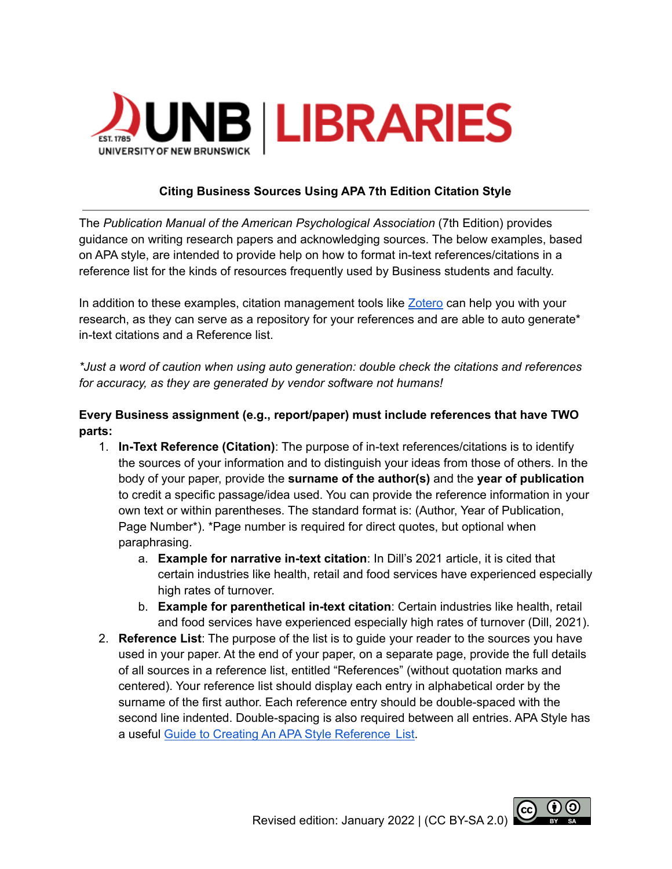

## **Citing Business Sources Using APA 7th Edition Citation Style**

The *Publication Manual of the American Psychological Association* (7th Edition) provides guidance on writing research papers and acknowledging sources. The below examples, based on APA style, are intended to provide help on how to format in-text references/citations in a reference list for the kinds of resources frequently used by Business students and faculty.

In addition to these examples, citation management tools like [Zotero](https://guides.lib.unb.ca/guide/206) can help you with your research, as they can serve as a repository for your references and are able to auto generate\* in-text citations and a Reference list.

*\*Just a word of caution when using auto generation: double check the citations and references for accuracy, as they are generated by vendor software not humans!*

# **Every Business assignment (e.g., report/paper) must include references that have TWO parts:**

- 1. **In-Text Reference (Citation)**: The purpose of in-text references/citations is to identify the sources of your information and to distinguish your ideas from those of others. In the body of your paper, provide the **surname of the author(s)** and the **year of publication** to credit a specific passage/idea used. You can provide the reference information in your own text or within parentheses. The standard format is: (Author, Year of Publication, Page Number\*). \*Page number is required for direct quotes, but optional when paraphrasing.
	- a. **Example for narrative in-text citation**: In Dill's 2021 article, it is cited that certain industries like health, retail and food services have experienced especially high rates of turnover.
	- b. **Example for parenthetical in-text citation**: Certain industries like health, retail and food services have experienced especially high rates of turnover (Dill, 2021).
- 2. **Reference List**: The purpose of the list is to guide your reader to the sources you have used in your paper. At the end of your paper, on a separate page, provide the full details of all sources in a reference list, entitled "References" (without quotation marks and centered). Your reference list should display each entry in alphabetical order by the surname of the first author. Each reference entry should be double-spaced with the second line indented. Double-spacing is also required between all entries. APA Style has a useful Guide to Creating An APA Style [Reference](https://apastyle.apa.org/instructional-aids/creating-reference-list.pdf) List.

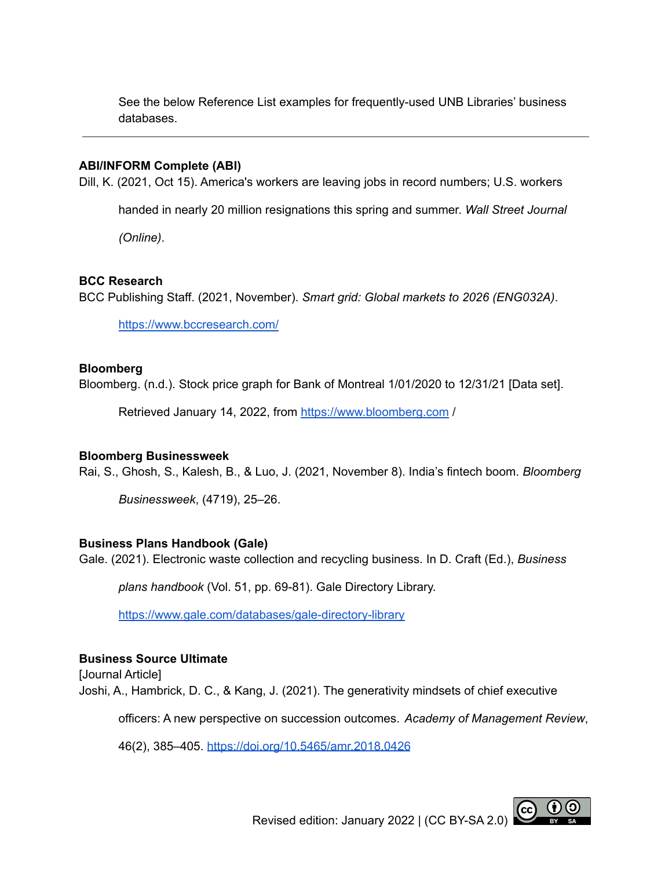See the below Reference List examples for frequently-used UNB Libraries' business databases.

#### **ABI/INFORM Complete (ABI)**

Dill, K. (2021, Oct 15). America's workers are leaving jobs in record numbers; U.S. workers

handed in nearly 20 million resignations this spring and summer. *Wall Street Journal*

*(Online)*.

### **BCC Research**

BCC Publishing Staff. (2021, November). *Smart grid: Global markets to 2026 (ENG032A)*.

<https://www.bccresearch.com/>

### **Bloomberg**

Bloomberg. (n.d.). Stock price graph for Bank of Montreal 1/01/2020 to 12/31/21 [Data set].

Retrieved January 14, 2022, from <https://www.bloomberg.com> /

#### **Bloomberg Businessweek**

Rai, S., Ghosh, S., Kalesh, B., & Luo, J. (2021, November 8). India's fintech boom. *Bloomberg*

*Businessweek*, (4719), 25–26.

### **Business Plans Handbook (Gale)**

Gale. (2021). Electronic waste collection and recycling business. In D. Craft (Ed.), *Business*

*plans handbook* (Vol. 51, pp. 69-81). Gale Directory Library.

<https://www.gale.com/databases/gale-directory-library>

### **Business Source Ultimate**

[Journal Article] Joshi, A., Hambrick, D. C., & Kang, J. (2021). The generativity mindsets of chief executive

officers: A new perspective on succession outcomes. *Academy of Management Review*,

46(2), 385–405. <https://doi.org/10.5465/amr.2018.0426>

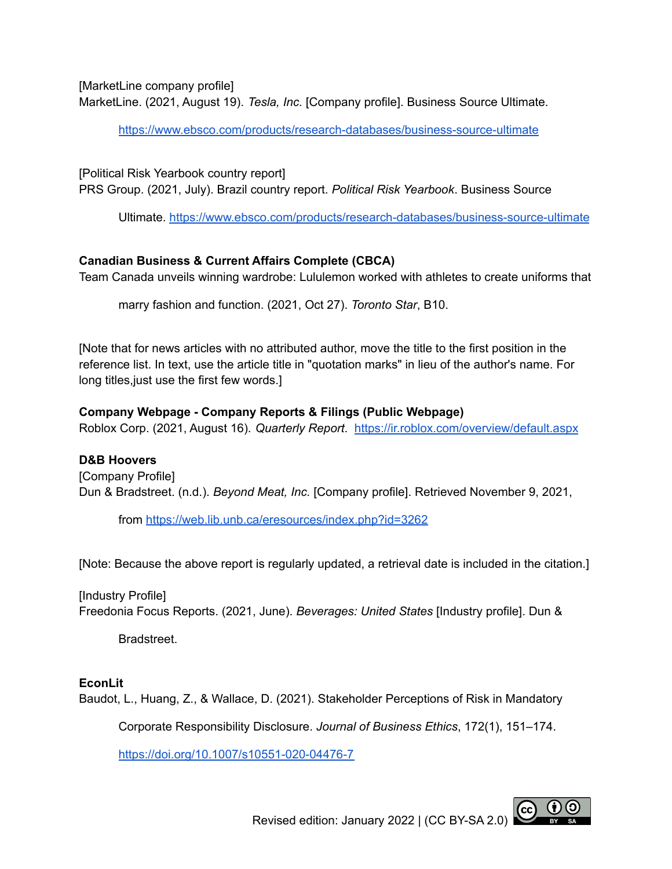[MarketLine company profile]

MarketLine. (2021, August 19). *Tesla, Inc.* [Company profile]. Business Source Ultimate.

<https://www.ebsco.com/products/research-databases/business-source-ultimate>

[Political Risk Yearbook country report] PRS Group. (2021, July). Brazil country report. *Political Risk Yearbook*. Business Source

Ultimate. <https://www.ebsco.com/products/research-databases/business-source-ultimate>

# **Canadian Business & Current Affairs Complete (CBCA)**

Team Canada unveils winning wardrobe: Lululemon worked with athletes to create uniforms that

marry fashion and function. (2021, Oct 27). *Toronto Star*, B10.

[Note that for news articles with no attributed author, move the title to the first position in the reference list. In text, use the article title in "quotation marks" in lieu of the author's name. For long titles,just use the first few words.]

# **Company Webpage - Company Reports & Filings (Public Webpage)**

Roblox Corp. (2021, August 16). *Quarterly Report*. <https://ir.roblox.com/overview/default.aspx>

### **D&B Hoovers**

[Company Profile] Dun & Bradstreet. (n.d.). *Beyond Meat, Inc.* [Company profile]. Retrieved November 9, 2021,

from <https://web.lib.unb.ca/eresources/index.php?id=3262>

[Note: Because the above report is regularly updated, a retrieval date is included in the citation.]

[Industry Profile] Freedonia Focus Reports. (2021, June). *Beverages: United States* [Industry profile]. Dun &

Bradstreet.

# **EconLit**

Baudot, L., Huang, Z., & Wallace, D. (2021). Stakeholder Perceptions of Risk in Mandatory

Corporate Responsibility Disclosure. *Journal of Business Ethics*, 172(1), 151–174.

<https://doi.org/10.1007/s10551-020-04476-7>

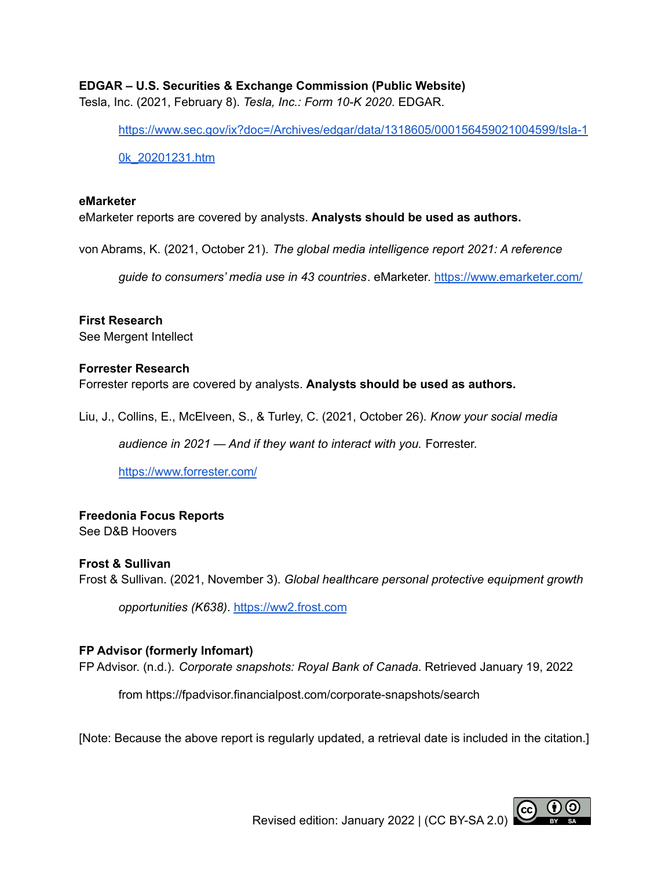## **EDGAR – U.S. Securities & Exchange Commission (Public Website)**

Tesla, Inc. (2021, February 8). *Tesla, Inc.: Form 10-K 2020*. EDGAR.

[https://www.sec.gov/ix?doc=/Archives/edgar/data/1318605/000156459021004599/tsla-1](https://www.sec.gov/ix?doc=/Archives/edgar/data/1318605/000156459021004599/tsla-10k_20201231.htm)

[0k\\_20201231.htm](https://www.sec.gov/ix?doc=/Archives/edgar/data/1318605/000156459021004599/tsla-10k_20201231.htm)

#### **eMarketer**

eMarketer reports are covered by analysts. **Analysts should be used as authors.**

von Abrams, K. (2021, October 21). *The global media intelligence report 2021: A reference*

*guide to consumers' media use in 43 countries*. eMarketer. <https://www.emarketer.com/>

**First Research** See Mergent Intellect

#### **Forrester Research**

Forrester reports are covered by analysts. **Analysts should be used as authors.**

Liu, J., Collins, E., McElveen, S., & Turley, C. (2021, October 26). *Know your social media*

*audience in 2021 — And if they want to interact with you.* Forrester.

<https://www.forrester.com/>

### **Freedonia Focus Reports**

See D&B Hoovers

### **Frost & Sullivan**

Frost & Sullivan. (2021, November 3). *Global healthcare personal protective equipment growth*

*opportunities (K638)*. <https://ww2.frost.com>

### **FP Advisor (formerly Infomart)**

FP Advisor. (n.d.). *Corporate snapshots: Royal Bank of Canada*. Retrieved January 19, 2022

from https://fpadvisor.financialpost.com/corporate-snapshots/search

[Note: Because the above report is regularly updated, a retrieval date is included in the citation.]



Revised edition: January 2022 | (CC BY-SA 2.0)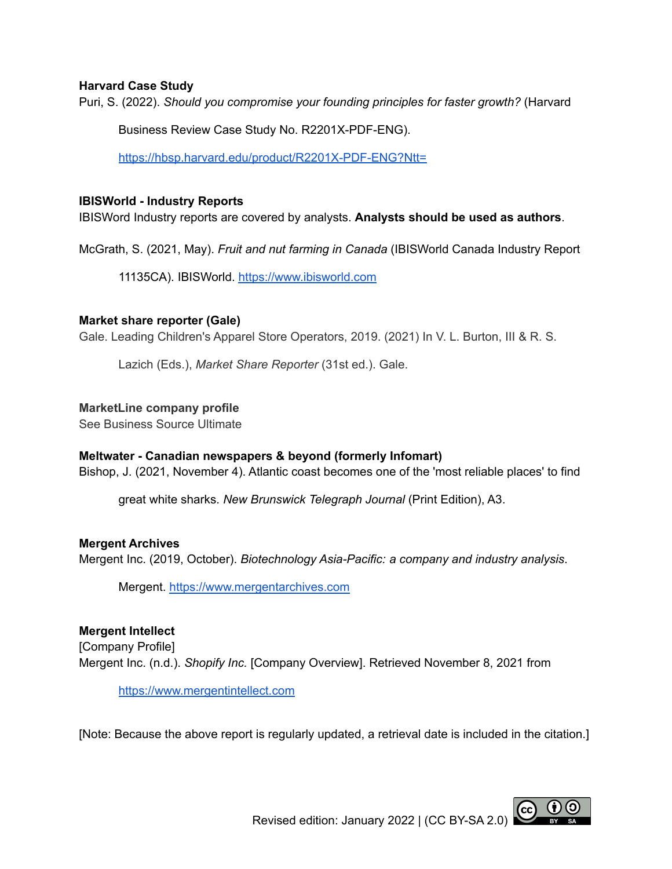## **Harvard Case Study**

Puri, S. (2022). *Should you compromise your founding principles for faster growth?* (Harvard

Business Review Case Study No. R2201X-PDF-ENG).

<https://hbsp.harvard.edu/product/R2201X-PDF-ENG?Ntt=>

### **IBISWorld - Industry Reports**

IBISWord Industry reports are covered by analysts. **Analysts should be used as authors**.

McGrath, S. (2021, May). *Fruit and nut farming in Canada* (IBISWorld Canada Industry Report

11135CA). IBISWorld. [https://www.ibisworld.com](https://www.ibisworld.com/)

## **Market share reporter (Gale)**

Gale. Leading Children's Apparel Store Operators, 2019. (2021) In V. L. Burton, III & R. S.

Lazich (Eds.), *Market Share Reporter* (31st ed.). Gale.

## **MarketLine company profile**

See Business Source Ultimate

# **Meltwater - Canadian newspapers & beyond (formerly Infomart)**

Bishop, J. (2021, November 4). Atlantic coast becomes one of the 'most reliable places' to find

great white sharks. *New Brunswick Telegraph Journal* (Print Edition), A3.

# **Mergent Archives**

Mergent Inc. (2019, October). *Biotechnology Asia-Pacific: a company and industry analysis*.

Mergent. <https://www.mergentarchives.com>

# **Mergent Intellect** [Company Profile] Mergent Inc. (n.d.). *Shopify Inc.* [Company Overview]. Retrieved November 8, 2021 from

[https://www.mergentintellect.com](https://www.mergentintellect.com/index.php/search/index)

[Note: Because the above report is regularly updated, a retrieval date is included in the citation.]

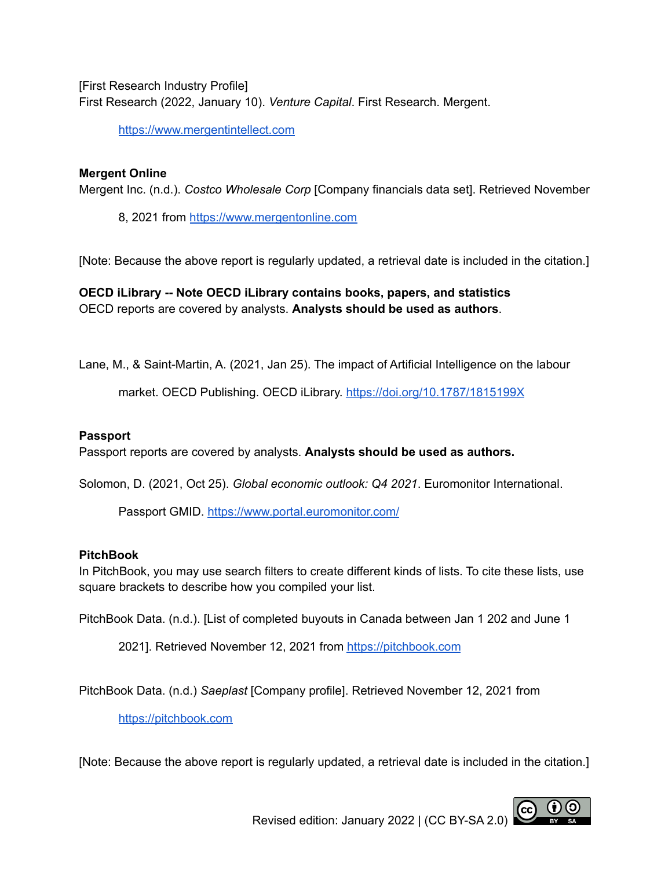[First Research Industry Profile] First Research (2022, January 10). *Venture Capital*. First Research. Mergent.

[https://www.mergentintellect.com](https://www.mergentintellect.com/index.php/search/index)

## **Mergent Online**

Mergent Inc. (n.d.). *Costco Wholesale Corp* [Company financials data set]. Retrieved November

8, 2021 from <https://www.mergentonline.com>

[Note: Because the above report is regularly updated, a retrieval date is included in the citation.]

**OECD iLibrary -- Note OECD iLibrary contains books, papers, and statistics** OECD reports are covered by analysts. **Analysts should be used as authors**.

Lane, M., & Saint-Martin, A. (2021, Jan 25). The impact of Artificial Intelligence on the labour

market. OECD Publishing. OECD iLibrary. <https://doi.org/10.1787/1815199X>

### **Passport**

Passport reports are covered by analysts. **Analysts should be used as authors.**

Solomon, D. (2021, Oct 25). *Global economic outlook: Q4 2021*. Euromonitor International.

Passport GMID. <https://www.portal.euromonitor.com/>

### **PitchBook**

In PitchBook, you may use search filters to create different kinds of lists. To cite these lists, use square brackets to describe how you compiled your list.

PitchBook Data. (n.d.). [List of completed buyouts in Canada between Jan 1 202 and June 1

2021]. Retrieved November 12, 2021 from <https://pitchbook.com>

PitchBook Data. (n.d.) *Saeplast* [Company profile]. Retrieved November 12, 2021 from

<https://pitchbook.com>

[Note: Because the above report is regularly updated, a retrieval date is included in the citation.]

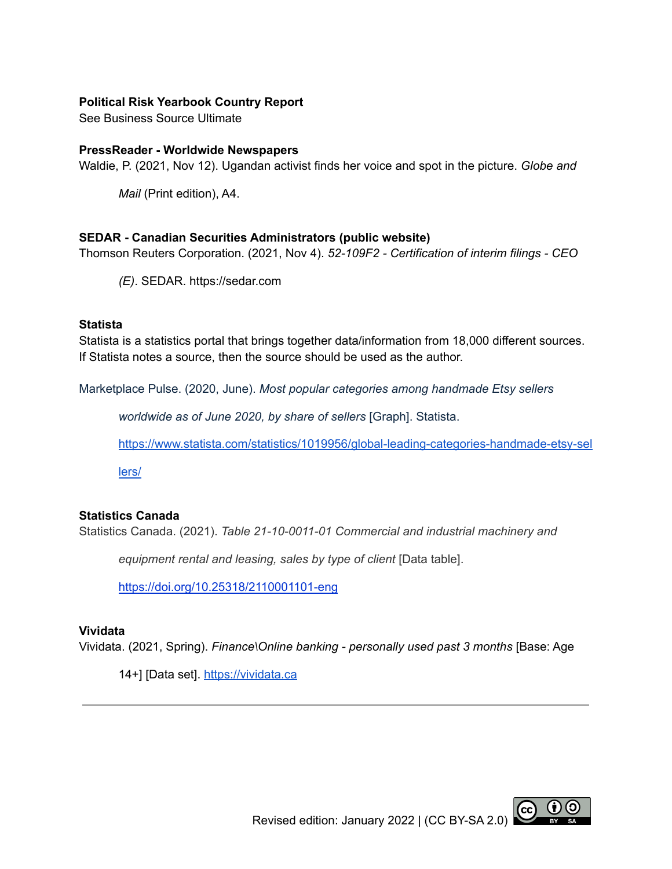## **Political Risk Yearbook Country Report**

See Business Source Ultimate

#### **PressReader - Worldwide Newspapers**

Waldie, P. (2021, Nov 12). Ugandan activist finds her voice and spot in the picture. *Globe and*

*Mail* (Print edition), A4.

#### **SEDAR - Canadian Securities Administrators (public website)**

Thomson Reuters Corporation. (2021, Nov 4). *52-109F2 - Certification of interim filings - CEO*

*(E)*. SEDAR. https://sedar.com

#### **Statista**

Statista is a statistics portal that brings together data/information from 18,000 different sources. If Statista notes a source, then the source should be used as the author.

Marketplace Pulse. (2020, June). *Most popular categories among handmade Etsy sellers*

*worldwide as of June 2020, by share of sellers* [Graph]. Statista.

[https://www.statista.com/statistics/1019956/global-leading-categories-handmade-etsy-sel](https://www.statista.com/statistics/1019956/global-leading-categories-handmade-etsy-sellers/)

[lers/](https://www.statista.com/statistics/1019956/global-leading-categories-handmade-etsy-sellers/)

### **Statistics Canada**

Statistics Canada. (2021). *Table 21-10-0011-01 Commercial and industrial machinery and*

*equipment rental and leasing, sales by type of client* [Data table].

<https://doi.org/10.25318/2110001101-eng>

### **Vividata**

Vividata. (2021, Spring). *Finance\Online banking - personally used past 3 months* [Base: Age

14+] [Data set]. <https://vividata.ca>